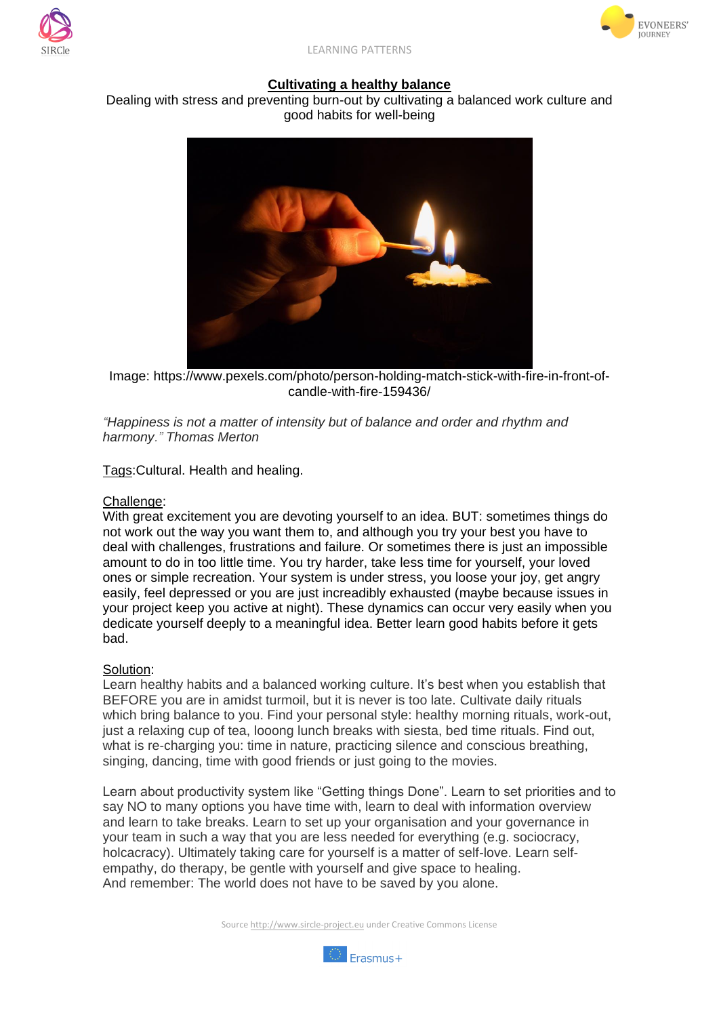



LEARNING PATTERNS

## **Cultivating a healthy balance**

Dealing with stress and preventing burn-out by cultivating a balanced work culture and good habits for well-being



Image: https://www.pexels.com/photo/person-holding-match-stick-with-fire-in-front-ofcandle-with-fire-159436/

*"Happiness is not a matter of intensity but of balance and order and rhythm and harmony." Thomas Merton*

Tags:Cultural. Health and healing.

## Challenge:

With great excitement you are devoting yourself to an idea. BUT: sometimes things do not work out the way you want them to, and although you try your best you have to deal with challenges, frustrations and failure. Or sometimes there is just an impossible amount to do in too little time. You try harder, take less time for yourself, your loved ones or simple recreation. Your system is under stress, you loose your joy, get angry easily, feel depressed or you are just increadibly exhausted (maybe because issues in your project keep you active at night). These dynamics can occur very easily when you dedicate yourself deeply to a meaningful idea. Better learn good habits before it gets bad.

## Solution:

Learn healthy habits and a balanced working culture. It's best when you establish that BEFORE you are in amidst turmoil, but it is never is too late. Cultivate daily rituals which bring balance to you. Find your personal style: healthy morning rituals, work-out, just a relaxing cup of tea, looong lunch breaks with siesta, bed time rituals. Find out, what is re-charging you: time in nature, practicing silence and conscious breathing, singing, dancing, time with good friends or just going to the movies.

Learn about productivity system like "Getting things Done". Learn to set priorities and to say NO to many options you have time with, learn to deal with information overview and learn to take breaks. Learn to set up your organisation and your governance in your team in such a way that you are less needed for everything (e.g. sociocracy, holcacracy). Ultimately taking care for yourself is a matter of self-love. Learn selfempathy, do therapy, be gentle with yourself and give space to healing. And remember: The world does not have to be saved by you alone.